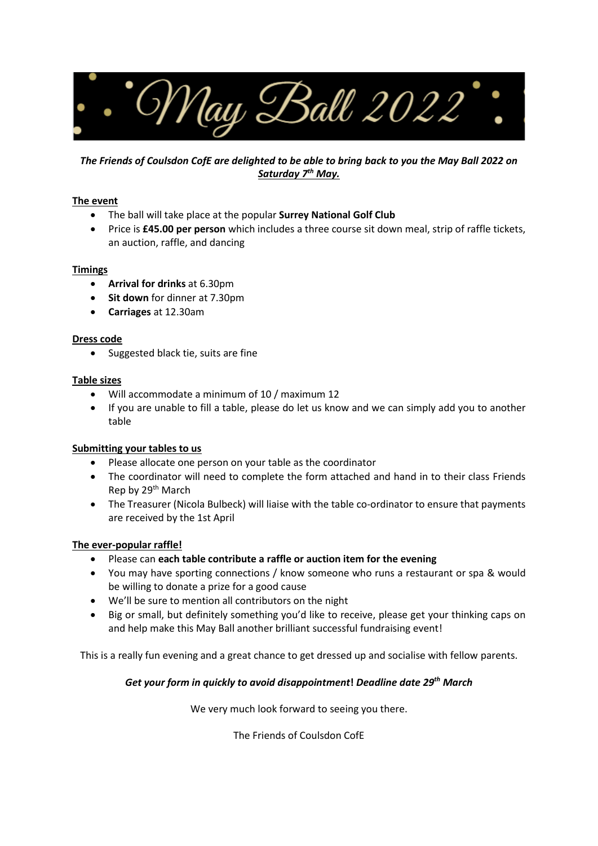

## *The Friends of Coulsdon CofE are delighted to be able to bring back to you the May Ball 2022 on Saturday 7th May.*

### **The event**

- The ball will take place at the popular **Surrey National Golf Club**
- Price is **£45.00 per person** which includes a three course sit down meal, strip of raffle tickets, an auction, raffle, and dancing

### **Timings**

- **Arrival for drinks** at 6.30pm
- **Sit down** for dinner at 7.30pm
- **Carriages** at 12.30am

#### **Dress code**

• Suggested black tie, suits are fine

#### **Table sizes**

- Will accommodate a minimum of 10 / maximum 12
- If you are unable to fill a table, please do let us know and we can simply add you to another table

#### **Submitting your tables to us**

- Please allocate one person on your table as the coordinator
- The coordinator will need to complete the form attached and hand in to their class Friends Rep by 29<sup>th</sup> March
- The Treasurer (Nicola Bulbeck) will liaise with the table co-ordinator to ensure that payments are received by the 1st April

#### **The ever-popular raffle!**

- Please can **each table contribute a raffle or auction item for the evening**
- You may have sporting connections / know someone who runs a restaurant or spa & would be willing to donate a prize for a good cause
- We'll be sure to mention all contributors on the night
- Big or small, but definitely something you'd like to receive, please get your thinking caps on and help make this May Ball another brilliant successful fundraising event!

This is a really fun evening and a great chance to get dressed up and socialise with fellow parents.

## *Get your form in quickly to avoid disappointment***!** *Deadline date 29th March*

We very much look forward to seeing you there.

The Friends of Coulsdon CofE